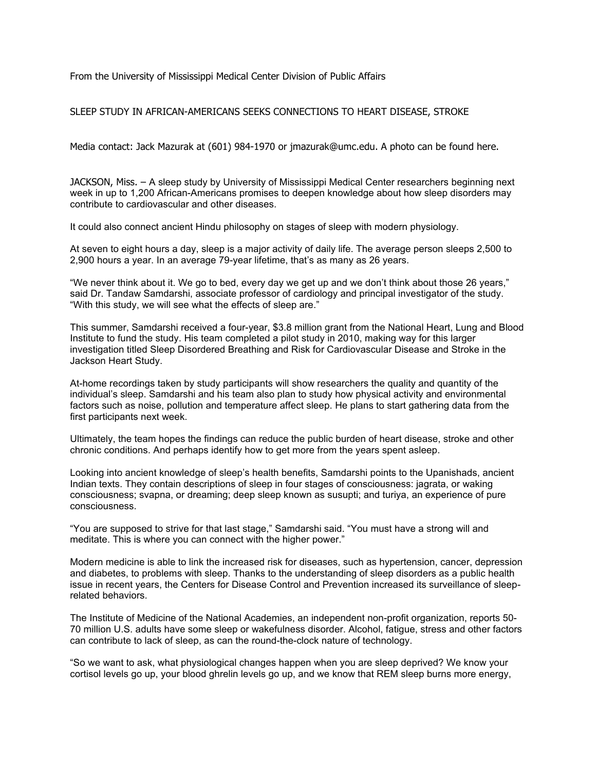From the University of Mississippi Medical Center Division of Public Affairs

SLEEP STUDY IN AFRICAN-AMERICANS SEEKS CONNECTIONS TO HEART DISEASE, STROKE

Media contact: Jack Mazurak at (601) 984-1970 or jmazurak@umc.edu. A photo can be found here.

JACKSON, Miss. – A sleep study by University of Mississippi Medical Center researchers beginning next week in up to 1,200 African-Americans promises to deepen knowledge about how sleep disorders may contribute to cardiovascular and other diseases.

It could also connect ancient Hindu philosophy on stages of sleep with modern physiology.

At seven to eight hours a day, sleep is a major activity of daily life. The average person sleeps 2,500 to 2,900 hours a year. In an average 79-year lifetime, that's as many as 26 years.

"We never think about it. We go to bed, every day we get up and we don't think about those 26 years," said Dr. Tandaw Samdarshi, associate professor of cardiology and principal investigator of the study. "With this study, we will see what the effects of sleep are."

This summer, Samdarshi received a four-year, \$3.8 million grant from the National Heart, Lung and Blood Institute to fund the study. His team completed a pilot study in 2010, making way for this larger investigation titled Sleep Disordered Breathing and Risk for Cardiovascular Disease and Stroke in the Jackson Heart Study.

At-home recordings taken by study participants will show researchers the quality and quantity of the individual's sleep. Samdarshi and his team also plan to study how physical activity and environmental factors such as noise, pollution and temperature affect sleep. He plans to start gathering data from the first participants next week.

Ultimately, the team hopes the findings can reduce the public burden of heart disease, stroke and other chronic conditions. And perhaps identify how to get more from the years spent asleep.

Looking into ancient knowledge of sleep's health benefits, Samdarshi points to the Upanishads, ancient Indian texts. They contain descriptions of sleep in four stages of consciousness: jagrata, or waking consciousness; svapna, or dreaming; deep sleep known as susupti; and turiya, an experience of pure consciousness.

"You are supposed to strive for that last stage," Samdarshi said. "You must have a strong will and meditate. This is where you can connect with the higher power."

Modern medicine is able to link the increased risk for diseases, such as hypertension, cancer, depression and diabetes, to problems with sleep. Thanks to the understanding of sleep disorders as a public health issue in recent years, the Centers for Disease Control and Prevention increased its surveillance of sleeprelated behaviors.

The Institute of Medicine of the National Academies, an independent non-profit organization, reports 50- 70 million U.S. adults have some sleep or wakefulness disorder. Alcohol, fatigue, stress and other factors can contribute to lack of sleep, as can the round-the-clock nature of technology.

"So we want to ask, what physiological changes happen when you are sleep deprived? We know your cortisol levels go up, your blood ghrelin levels go up, and we know that REM sleep burns more energy,